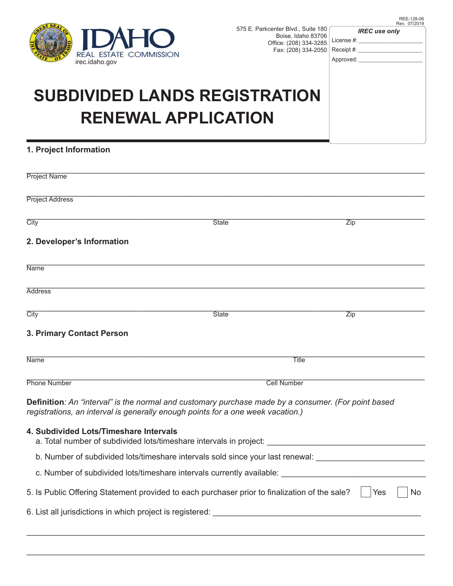

575 E. Parkcenter Blvd., Suite 180 Boise, Idaho 83706 Office: (208) 334-3285 Fax: (208) 334-2050 *IREC use only*

| <b>ILAHU</b>                                                       | BOISE, IGAILO 03700    | License #: |
|--------------------------------------------------------------------|------------------------|------------|
| REAL ESTATE COMMISSION                                             | Office: (208) 334-3285 | Receipt #: |
| irec.idaho.gov                                                     | Fax: (208) 334-2050    | Approved:  |
| <b>SUBDIVIDED LANDS REGISTRATION</b><br><b>RENEWAL APPLICATION</b> |                        |            |

## **1. Project Information**

| <b>Project Name</b>                                                                                                                                                                    |              |                    |  |  |
|----------------------------------------------------------------------------------------------------------------------------------------------------------------------------------------|--------------|--------------------|--|--|
| <b>Project Address</b>                                                                                                                                                                 |              |                    |  |  |
| City                                                                                                                                                                                   | <b>State</b> | Zip                |  |  |
| 2. Developer's Information                                                                                                                                                             |              |                    |  |  |
| <b>Name</b>                                                                                                                                                                            |              |                    |  |  |
| <b>Address</b>                                                                                                                                                                         |              |                    |  |  |
| City                                                                                                                                                                                   | <b>State</b> | Zip                |  |  |
| 3. Primary Contact Person                                                                                                                                                              |              |                    |  |  |
| <b>Name</b>                                                                                                                                                                            |              | <b>Title</b>       |  |  |
| <b>Phone Number</b>                                                                                                                                                                    |              | <b>Cell Number</b> |  |  |
| Definition: An "interval" is the normal and customary purchase made by a consumer. (For point based<br>registrations, an interval is generally enough points for a one week vacation.) |              |                    |  |  |
| 4. Subdivided Lots/Timeshare Intervals<br>a. Total number of subdivided lots/timeshare intervals in project: _________________________________                                         |              |                    |  |  |
| b. Number of subdivided lots/timeshare intervals sold since your last renewal: ___________________________                                                                             |              |                    |  |  |
|                                                                                                                                                                                        |              |                    |  |  |
| 5. Is Public Offering Statement provided to each purchaser prior to finalization of the sale?                                                                                          |              | Yes<br>No.         |  |  |
|                                                                                                                                                                                        |              |                    |  |  |
|                                                                                                                                                                                        |              |                    |  |  |

\_\_\_\_\_\_\_\_\_\_\_\_\_\_\_\_\_\_\_\_\_\_\_\_\_\_\_\_\_\_\_\_\_\_\_\_\_\_\_\_\_\_\_\_\_\_\_\_\_\_\_\_\_\_\_\_\_\_\_\_\_\_\_\_\_\_\_\_\_\_\_\_\_\_\_\_\_\_\_\_\_\_\_\_\_\_\_\_